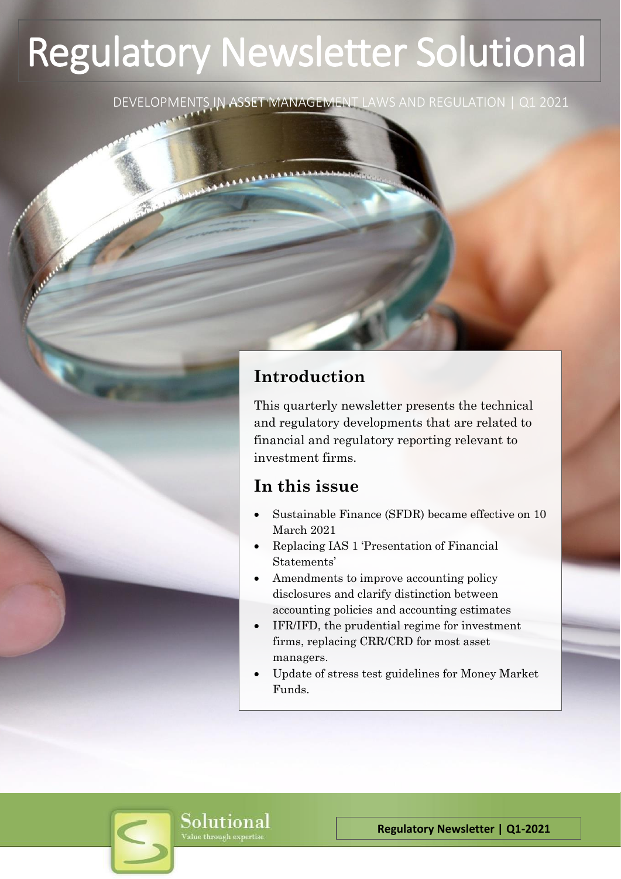# Regulatory Newsletter Solutional

DEVELOPMENTS IN ASSET MANAGEMENT LAWS AND REGULATION | Q1 2021

# **Introduction**

This quarterly newsletter presents the technical and regulatory developments that are related to financial and regulatory reporting relevant to investment firms.

# **In this issue**

- Sustainable Finance (SFDR) became effective on 10 March 2021
- Replacing IAS 1 'Presentation of Financial Statements'
- Amendments to improve accounting policy disclosures and clarify distinction between accounting policies and accounting estimates
- IFR/IFD, the prudential regime for investment firms, replacing CRR/CRD for most asset managers.
- Update of stress test guidelines for Money Market Funds.

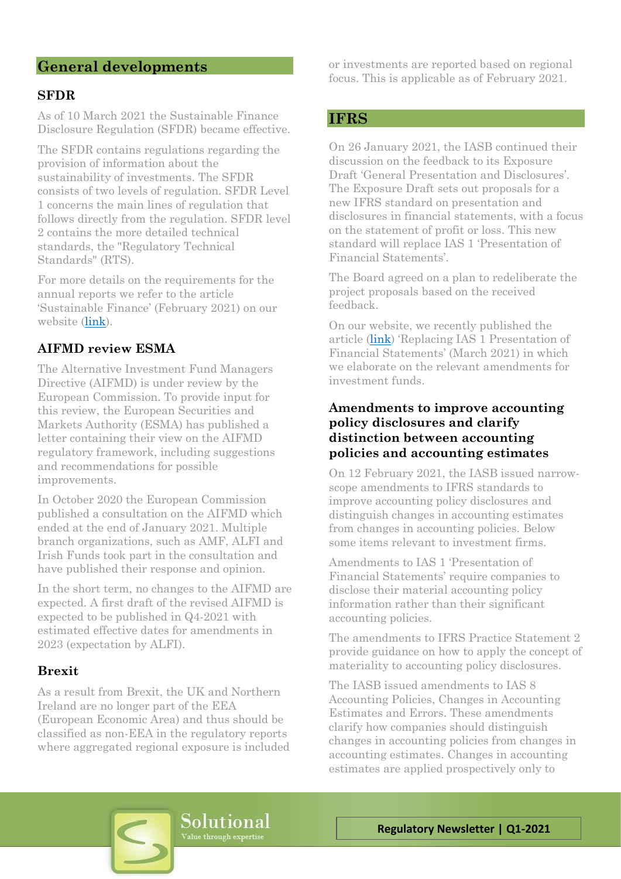# **General developments**

#### **SFDR**

As of 10 March 2021 the Sustainable Finance Disclosure Regulation (SFDR) became effective.

The SFDR contains regulations regarding the provision of information about the sustainability of investments. The SFDR consists of two levels of regulation. SFDR Level 1 concerns the main lines of regulation that follows directly from the regulation. SFDR level 2 contains the more detailed technical standards, the "Regulatory Technical Standards" (RTS).

For more details on the requirements for the annual reports we refer to the article 'Sustainable Finance' (February 2021) on our website [\(link\)](https://www.solutional.nl/wp-content/uploads/2021/02/Solutional-Onderzoek_ESG_beleid-2021.pdf).

#### **AIFMD review ESMA**

The Alternative Investment Fund Managers Directive (AIFMD) is under review by the European Commission. To provide input for this review, the European Securities and Markets Authority (ESMA) has published a letter containing their view on the AIFMD regulatory framework, including suggestions and recommendations for possible improvements.

In October 2020 the European Commission published a consultation on the AIFMD which ended at the end of January 2021. Multiple branch organizations, such as AMF, ALFI and Irish Funds took part in the consultation and have published their response and opinion.

In the short term, no changes to the AIFMD are expected. A first draft of the revised AIFMD is expected to be published in Q4-2021 with estimated effective dates for amendments in 2023 (expectation by ALFI).

#### **Brexit**

As a result from Brexit, the UK and Northern Ireland are no longer part of the EEA (European Economic Area) and thus should be classified as non-EEA in the regulatory reports where aggregated regional exposure is included or investments are reported based on regional focus. This is applicable as of February 2021.

#### **IFRS**

On 26 January 2021, the IASB continued their discussion on the feedback to its Exposure Draft 'General Presentation and Disclosures'. The Exposure Draft sets out proposals for a new IFRS standard on presentation and disclosures in financial statements, with a focus on the statement of profit or loss. This new standard will replace IAS 1 'Presentation of Financial Statements'.

The Board agreed on a plan to redeliberate the project proposals based on the received feedback.

On our website, we recently published the article [\(link\)](https://www.solutional.nl/wp-content/uploads/2021/03/Solutional-Knowledge-investors-mrt_2021.pdf) 'Replacing IAS 1 Presentation of Financial Statements' (March 2021) in which we elaborate on the relevant amendments for investment funds.

#### **Amendments to improve accounting policy disclosures and clarify distinction between accounting policies and accounting estimates**

On 12 February 2021, the IASB issued narrowscope amendments to IFRS standards to improve accounting policy disclosures and distinguish changes in accounting estimates from changes in accounting policies. Below some items relevant to investment firms.

Amendments to IAS 1 'Presentation of Financial Statements' require companies to disclose their material accounting policy information rather than their significant accounting policies.

The amendments to IFRS Practice Statement 2 provide guidance on how to apply the concept of materiality to accounting policy disclosures.

The IASB issued amendments to IAS 8 Accounting Policies, Changes in Accounting Estimates and Errors. These amendments clarify how companies should distinguish changes in accounting policies from changes in accounting estimates. Changes in accounting estimates are applied prospectively only to

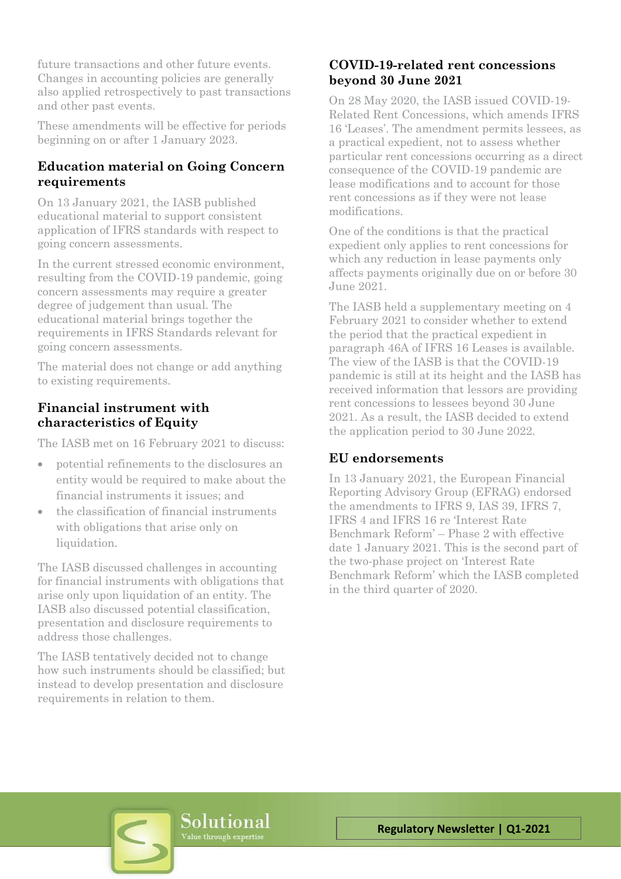future transactions and other future events. Changes in accounting policies are generally also applied retrospectively to past transactions and other past events.

These amendments will be effective for periods beginning on or after 1 January 2023.

## **Education material on Going Concern requirements**

On 13 January 2021, the IASB published educational material to support consistent application of IFRS standards with respect to going concern assessments.

In the current stressed economic environment, resulting from the COVID-19 pandemic, going concern assessments may require a greater degree of judgement than usual. The educational material brings together the requirements in IFRS Standards relevant for going concern assessments.

The material does not change or add anything to existing requirements.

# **Financial instrument with characteristics of Equity**

The IASB met on 16 February 2021 to discuss:

- potential refinements to the disclosures an entity would be required to make about the financial instruments it issues; and
- the classification of financial instruments with obligations that arise only on liquidation.

The IASB discussed challenges in accounting for financial instruments with obligations that arise only upon liquidation of an entity. The IASB also discussed potential classification, presentation and disclosure requirements to address those challenges.

The IASB tentatively decided not to change how such instruments should be classified; but instead to develop presentation and disclosure requirements in relation to them.

## **COVID-19-related rent concessions beyond 30 June 2021**

On 28 May 2020, the IASB issued COVID-19- Related Rent Concessions, which amends IFRS 16 'Leases'. The amendment permits lessees, as a practical expedient, not to assess whether particular rent concessions occurring as a direct consequence of the COVID-19 pandemic are lease modifications and to account for those rent concessions as if they were not lease modifications.

One of the conditions is that the practical expedient only applies to rent concessions for which any reduction in lease payments only affects payments originally due on or before 30 June 2021.

The IASB held a supplementary meeting on 4 February 2021 to consider whether to extend the period that the practical expedient in paragraph 46A of IFRS 16 Leases is available. The view of the IASB is that the COVID-19 pandemic is still at its height and the IASB has received information that lessors are providing rent concessions to lessees beyond 30 June 2021. As a result, the IASB decided to extend the application period to 30 June 2022.

#### **EU endorsements**

In 13 January 2021, the European Financial Reporting Advisory Group (EFRAG) endorsed the amendments to IFRS 9, IAS 39, IFRS 7, IFRS 4 and IFRS 16 re 'Interest Rate Benchmark Reform' – Phase 2 with effective date 1 January 2021. This is the second part of the two-phase project on 'Interest Rate Benchmark Reform' which the IASB completed in the third quarter of 2020.

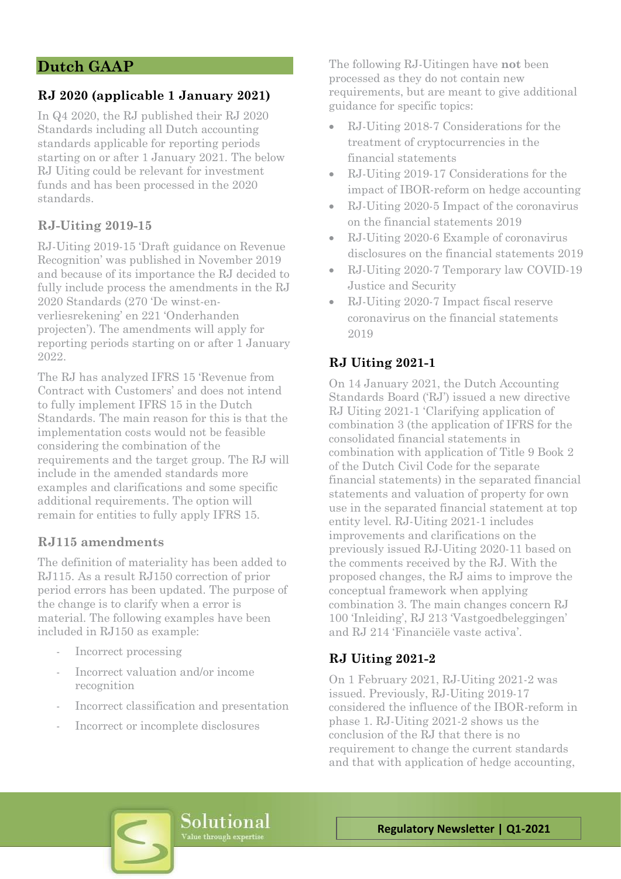# **Dutch GAAP**

# **RJ 2020 (applicable 1 January 2021)**

In Q4 2020, the RJ published their RJ 2020 Standards including all Dutch accounting standards applicable for reporting periods starting on or after 1 January 2021. The below RJ Uiting could be relevant for investment funds and has been processed in the 2020 standards.

#### **RJ-Uiting 2019-15**

RJ-Uiting 2019-15 'Draft guidance on Revenue Recognition' was published in November 2019 and because of its importance the RJ decided to fully include process the amendments in the RJ 2020 Standards (270 'De winst-enverliesrekening' en 221 'Onderhanden projecten'). The amendments will apply for reporting periods starting on or after 1 January 2022.

The RJ has analyzed IFRS 15 'Revenue from Contract with Customers' and does not intend to fully implement IFRS 15 in the Dutch Standards. The main reason for this is that the implementation costs would not be feasible considering the combination of the requirements and the target group. The RJ will include in the amended standards more examples and clarifications and some specific additional requirements. The option will remain for entities to fully apply IFRS 15.

#### **RJ115 amendments**

The definition of materiality has been added to RJ115. As a result RJ150 correction of prior period errors has been updated. The purpose of the change is to clarify when a error is material. The following examples have been included in RJ150 as example:

- Incorrect processing
- Incorrect valuation and/or income recognition
- Incorrect classification and presentation
- Incorrect or incomplete disclosures

The following RJ-Uitingen have **not** been processed as they do not contain new requirements, but are meant to give additional guidance for specific topics:

- RJ-Uiting 2018-7 Considerations for the treatment of cryptocurrencies in the financial statements
- RJ-Uiting 2019-17 Considerations for the impact of IBOR-reform on hedge accounting
- RJ-Uiting 2020-5 Impact of the coronavirus on the financial statements 2019
- RJ-Uiting 2020-6 Example of coronavirus disclosures on the financial statements 2019
- RJ-Uiting 2020-7 Temporary law COVID-19 Justice and Security
- RJ-Uiting 2020-7 Impact fiscal reserve coronavirus on the financial statements 2019

## **RJ Uiting 2021-1**

On 14 January 2021, the Dutch Accounting Standards Board ('RJ') issued a new directive RJ Uiting 2021-1 'Clarifying application of combination 3 (the application of IFRS for the consolidated financial statements in combination with application of Title 9 Book 2 of the Dutch Civil Code for the separate financial statements) in the separated financial statements and valuation of property for own use in the separated financial statement at top entity level. RJ-Uiting 2021-1 includes improvements and clarifications on the previously issued RJ-Uiting 2020-11 based on the comments received by the RJ. With the proposed changes, the RJ aims to improve the conceptual framework when applying combination 3. The main changes concern RJ 100 'Inleiding', RJ 213 'Vastgoedbeleggingen' and RJ 214 'Financiële vaste activa'.

#### **RJ Uiting 2021-2**

On 1 February 2021, RJ-Uiting 2021-2 was issued. Previously, RJ-Uiting 2019-17 considered the influence of the IBOR-reform in phase 1. RJ-Uiting 2021-2 shows us the conclusion of the RJ that there is no requirement to change the current standards and that with application of hedge accounting,

Solutional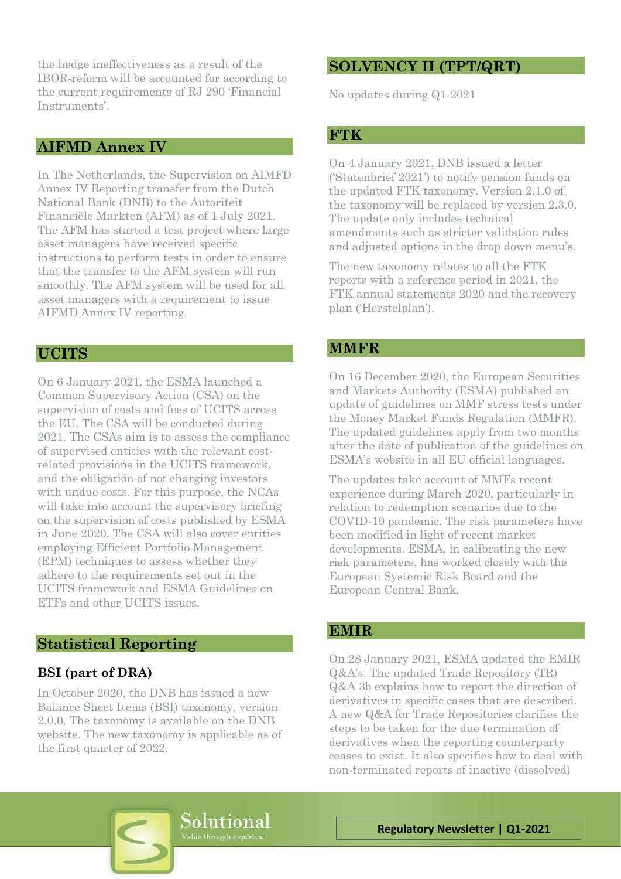the hedge ineffectiveness as a result of the IBOR-reform will be accounted for according to the current requirements of RJ 290 'Financial Instruments'.

#### **AIFMD Annex IV**

In The Netherlands, the Supervision on AIMFD Annex IV Reporting transfer from the Dutch National Bank (DNB) to the Autoriteit Financiële Markten (AFM) as of 1 July 2021. The AFM has started a test project where large asset managers have received specific instructions to perform tests in order to ensure that the transfer to the AFM system will run smoothly. The AFM system will be used for all asset managers with a requirement to issue AIFMD Annex IV reporting.

#### **UCITS**

On 6 January 2021, the ESMA launched a Common Supervisory Action (CSA) on the supervision of costs and fees of UCITS across the EU. The CSA will be conducted during 2021. The CSAs aim is to assess the compliance of supervised entities with the relevant costrelated provisions in the UCITS framework, and the obligation of not charging investors with undue costs. For this purpose, the NCAs will take into account the supervisory briefing on the supervision of costs published by ESMA in June 2020. The CSA will also cover entities employing Efficient Portfolio Management (EPM) techniques to assess whether they adhere to the requirements set out in the UCITS framework and ESMA Guidelines on ETFs and other UCITS issues.

#### **Statistical Reporting**

# **BSI (part of DRA)**

In October 2020, the DNB has issued a new Balance Sheet Items (BSI) taxonomy, version 2.0.0. The taxonomy is available on the DNB website. The new taxonomy is applicable as of the first quarter of 2022.

# **SOLVENCY II (TPT/QRT)**

No updates during Q1-2021

#### **FTK**

On 4 January 2021, DNB issued a letter ('Statenbrief 2021') to notify pension funds on the updated FTK taxonomy. Version 2.1.0 of the taxonomy will be replaced by version 2.3.0. The update only includes technical amendments such as stricter validation rules and adjusted options in the drop down menu's.

The new taxonomy relates to all the FTK reports with a reference period in 2021, the FTK annual statements 2020 and the recovery plan ('Herstelplan').

## **MMFR**

On 16 December 2020, the European Securities and Markets Authority (ESMA) published an update of guidelines on MMF stress tests under the Money Market Funds Regulation (MMFR). The updated guidelines apply from two months after the date of publication of the guidelines on ESMA's website in all EU official languages.

The updates take account of MMFs recent experience during March 2020, particularly in relation to redemption scenarios due to the COVID-19 pandemic. The risk parameters have been modified in light of recent market developments. ESMA, in calibrating the new risk parameters, has worked closely with the European Systemic Risk Board and the European Central Bank.

#### **EMIR**

On 28 January 2021, ESMA updated the EMIR Q&A's. The updated Trade Repository (TR) Q&A 3b explains how to report the direction of derivatives in specific cases that are described. A new Q&A for Trade Repositories clarifies the steps to be taken for the due termination of derivatives when the reporting counterparty ceases to exist. It also specifies how to deal with non-terminated reports of inactive (dissolved)

Solutional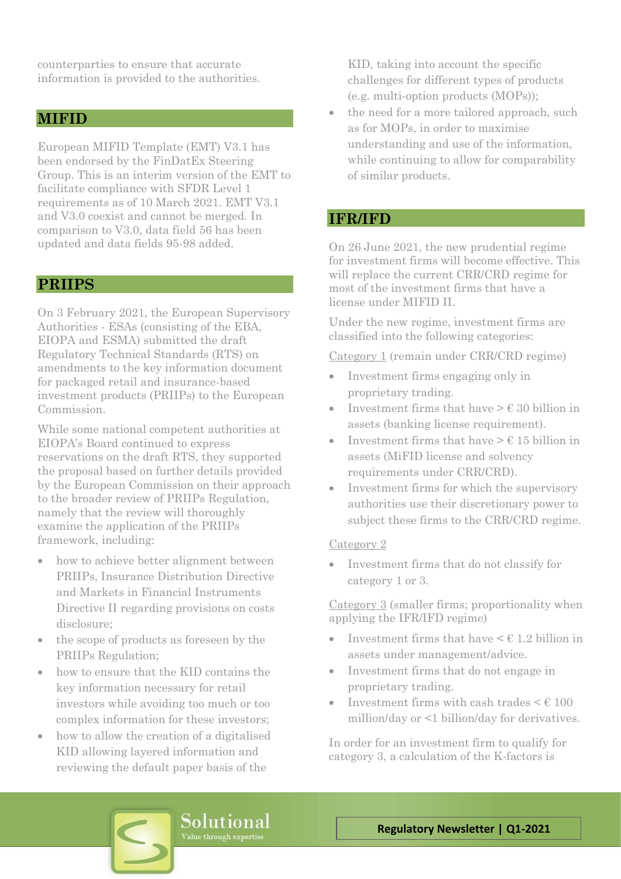counterparties to ensure that accurate information is provided to the authorities.

#### **MIFID**

European MIFID Template (EMT) V3.1 has been endorsed by the FinDatEx Steering Group. This is an interim version of the EMT to facilitate compliance with SFDR Level 1 requirements as of 10 March 2021. EMT V3.1 and V3.0 coexist and cannot be merged. In comparison to V3.0, data field 56 has been updated and data fields 95-98 added.

#### **PRIIPS**

On 3 February 2021, the European Supervisory Authorities - ESAs (consisting of the EBA, EIOPA and ESMA) submitted the draft Regulatory Technical Standards (RTS) on amendments to the key information document for packaged retail and insurance-based investment products (PRIIPs) to the European Commission.

While some national competent authorities at EIOPA's Board continued to express reservations on the draft RTS, they supported the proposal based on further details provided by the European Commission on their approach to the broader review of PRIIPs Regulation, namely that the review will thoroughly examine the application of the PRIIPs framework, including:

- how to achieve better alignment between PRIIPs, Insurance Distribution Directive and Markets in Financial Instruments Directive II regarding provisions on costs disclosure;
- the scope of products as foreseen by the PRIIPs Regulation;
- how to ensure that the KID contains the key information necessary for retail investors while avoiding too much or too complex information for these investors;
- how to allow the creation of a digitalised KID allowing layered information and reviewing the default paper basis of the

KID, taking into account the specific challenges for different types of products (e.g. multi-option products (MOPs));

• the need for a more tailored approach, such as for MOPs, in order to maximise understanding and use of the information, while continuing to allow for comparability of similar products.

# **IFR/IFD**

On 26 June 2021, the new prudential regime for investment firms will become effective. This will replace the current CRR/CRD regime for most of the investment firms that have a license under MIFID II.

Under the new regime, investment firms are classified into the following categories:

Category 1 (remain under CRR/CRD regime)

- Investment firms engaging only in proprietary trading.
- Investment firms that have  $> \epsilon$  30 billion in assets (banking license requirement).
- Investment firms that have  $\geq \epsilon$  15 billion in assets (MiFID license and solvency requirements under CRR/CRD).
- Investment firms for which the supervisory authorities use their discretionary power to subject these firms to the CRR/CRD regime.

#### Category 2

• Investment firms that do not classify for category 1 or 3.

Category 3 (smaller firms; proportionality when applying the IFR/IFD regime)

- Investment firms that have  $\leq \epsilon$  1.2 billion in assets under management/advice.
- Investment firms that do not engage in proprietary trading.
- Investment firms with cash trades  $\leq \text{\ensuremath{\mathfrak{E}}}$  100 million/day or <1 billion/day for derivatives.

In order for an investment firm to qualify for category 3, a calculation of the K-factors is

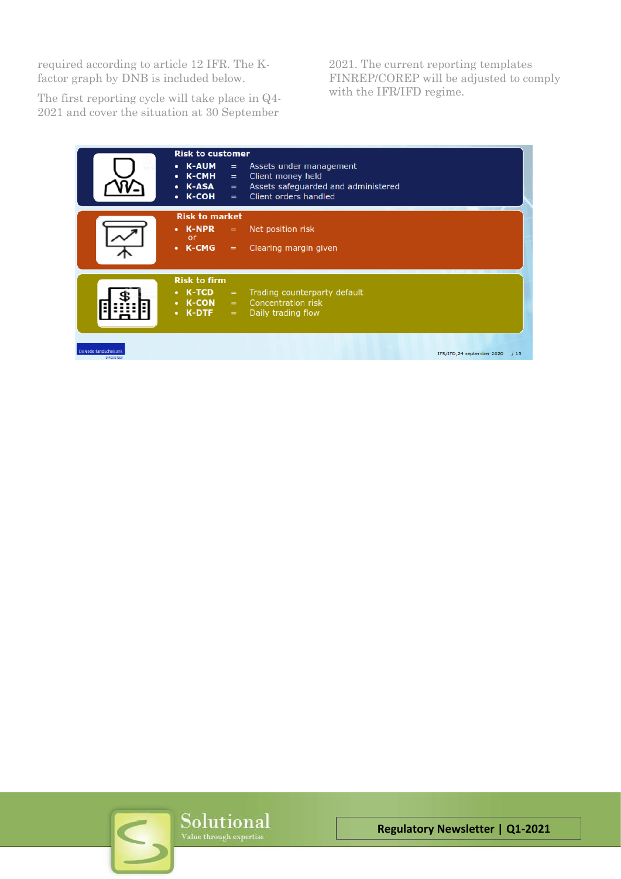required according to article 12 IFR. The Kfactor graph by DNB is included below.

The first reporting cycle will take place in Q4- 2021 and cover the situation at 30 September

2021. The current reporting templates FINREP/COREP will be adjusted to comply with the IFR/IFD regime.